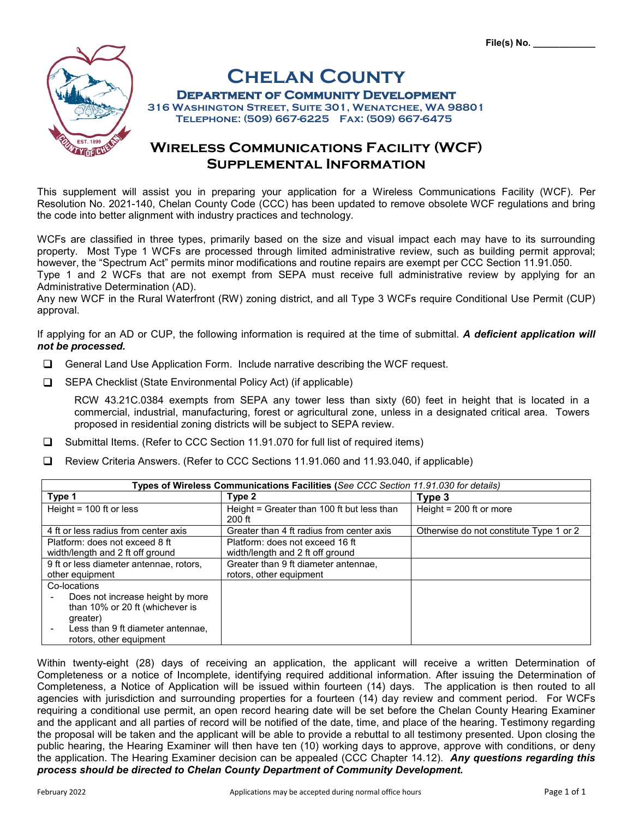

# **CHELAN COUNTY<br>DEPARTMENT OF COMMUNITY DEVELOPMENT**<br>316 WASHINGTON STREET, SUITE 301, WENATCHEE, WA 98801

 **Telephone: (509) 667-6225 Fax: (509) 667-6475**

## **Wireless Communications Facility (WCF) Supplemental Information**

This supplement will assist you in preparing your application for a Wireless Communications Facility (WCF). Per Resolution No. 2021-140, Chelan County Code (CCC) has been updated to remove obsolete WCF regulations and bring the code into better alignment with industry practices and technology.

WCFs are classified in three types, primarily based on the size and visual impact each may have to its surrounding property. Most Type 1 WCFs are processed through limited administrative review, such as building permit approval; however, the "Spectrum Act" permits minor modifications and routine repairs are exempt per CCC Section 11.91.050.

Type 1 and 2 WCFs that are not exempt from SEPA must receive full administrative review by applying for an Administrative Determination (AD).

Any new WCF in the Rural Waterfront (RW) zoning district, and all Type 3 WCFs require Conditional Use Permit (CUP) approval.

If applying for an AD or CUP, the following information is required at the time of submittal. *A deficient application will not be processed.*

- General Land Use Application Form. Include narrative describing the WCF request.
- **□** SEPA Checklist (State Environmental Policy Act) (if applicable)

RCW 43.21C.0384 exempts from SEPA any tower less than sixty (60) feet in height that is located in a commercial, industrial, manufacturing, forest or agricultural zone, unless in a designated critical area. Towers proposed in residential zoning districts will be subject to SEPA review.

- □ Submittal Items. (Refer to CCC Section 11.91.070 for full list of required items)
- Review Criteria Answers. (Refer to CCC Sections 11.91.060 and 11.93.040, if applicable)

| Types of Wireless Communications Facilities (See CCC Section 11.91.030 for details)                                                                             |                                                                     |                                         |  |  |  |  |
|-----------------------------------------------------------------------------------------------------------------------------------------------------------------|---------------------------------------------------------------------|-----------------------------------------|--|--|--|--|
| Type 1                                                                                                                                                          | Type 2                                                              | Type 3                                  |  |  |  |  |
| Height = $100$ ft or less                                                                                                                                       | Height = Greater than 100 ft but less than<br>$200$ ft              | Height = $200$ ft or more               |  |  |  |  |
| 4 ft or less radius from center axis                                                                                                                            | Greater than 4 ft radius from center axis                           | Otherwise do not constitute Type 1 or 2 |  |  |  |  |
| Platform: does not exceed 8 ft<br>width/length and 2 ft off ground                                                                                              | Platform: does not exceed 16 ft<br>width/length and 2 ft off ground |                                         |  |  |  |  |
| 9 ft or less diameter antennae, rotors,<br>other equipment                                                                                                      | Greater than 9 ft diameter antennae,<br>rotors, other equipment     |                                         |  |  |  |  |
| Co-locations<br>Does not increase height by more<br>than 10% or 20 ft (whichever is<br>greater)<br>Less than 9 ft diameter antennae,<br>rotors, other equipment |                                                                     |                                         |  |  |  |  |

Within twenty-eight (28) days of receiving an application, the applicant will receive a written Determination of Completeness or a notice of Incomplete, identifying required additional information. After issuing the Determination of Completeness, a Notice of Application will be issued within fourteen (14) days. The application is then routed to all agencies with jurisdiction and surrounding properties for a fourteen (14) day review and comment period. For WCFs requiring a conditional use permit, an open record hearing date will be set before the Chelan County Hearing Examiner and the applicant and all parties of record will be notified of the date, time, and place of the hearing. Testimony regarding the proposal will be taken and the applicant will be able to provide a rebuttal to all testimony presented. Upon closing the public hearing, the Hearing Examiner will then have ten (10) working days to approve, approve with conditions, or deny the application. The Hearing Examiner decision can be appealed (CCC Chapter 14.12). *Any questions regarding this process should be directed to Chelan County Department of Community Development.*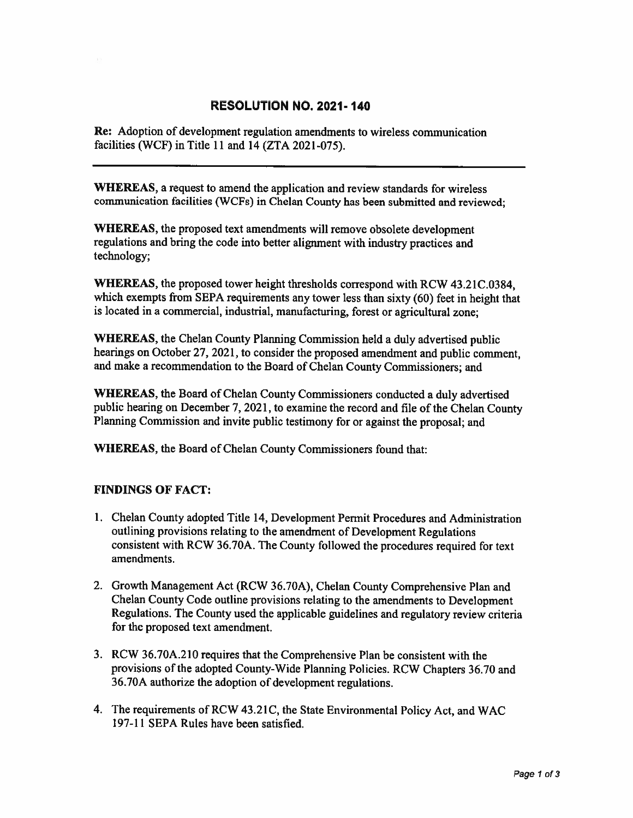## **RESOLUTION NO. 2021-140**

**Re:** Adoption of development regulation amendments to wireless communication facilities (WCF) in Title 11 and 14 (ZTA 2021-075).

**WHEREAS**, a request to amend the application and review standards for wireless communication facilities (WCFs) in Chelan County has been submitted and reviewed;

WHEREAS, the proposed text amendments will remove obsolete development regulations and bring the code into better alignment with industry practices and technology;

WHEREAS, the proposed tower height thresholds correspond with RCW 43.21C.0384, which exempts from SEPA requirements any tower less than sixty (60) feet in height that is located in a commercial, industrial, manufacturing, forest or agricultural zone;

**WHEREAS**, the Chelan County Planning Commission held a duly advertised public hearings on October 27, 2021, to consider the proposed amendment and public comment. and make a recommendation to the Board of Chelan County Commissioners; and

**WHEREAS, the Board of Chelan County Commissioners conducted a duly advertised** public hearing on December 7, 2021, to examine the record and file of the Chelan County Planning Commission and invite public testimony for or against the proposal; and

WHEREAS, the Board of Chelan County Commissioners found that:

## **FINDINGS OF FACT:**

- 1. Chelan County adopted Title 14, Development Permit Procedures and Administration outlining provisions relating to the amendment of Development Regulations consistent with RCW 36.70A. The County followed the procedures required for text amendments.
- 2. Growth Management Act (RCW 36.70A), Chelan County Comprehensive Plan and Chelan County Code outline provisions relating to the amendments to Development Regulations. The County used the applicable guidelines and regulatory review criteria for the proposed text amendment.
- 3. RCW 36.70A.210 requires that the Comprehensive Plan be consistent with the provisions of the adopted County-Wide Planning Policies. RCW Chapters 36.70 and 36.70A authorize the adoption of development regulations.
- 4. The requirements of RCW 43.21C, the State Environmental Policy Act, and WAC 197-11 SEPA Rules have been satisfied.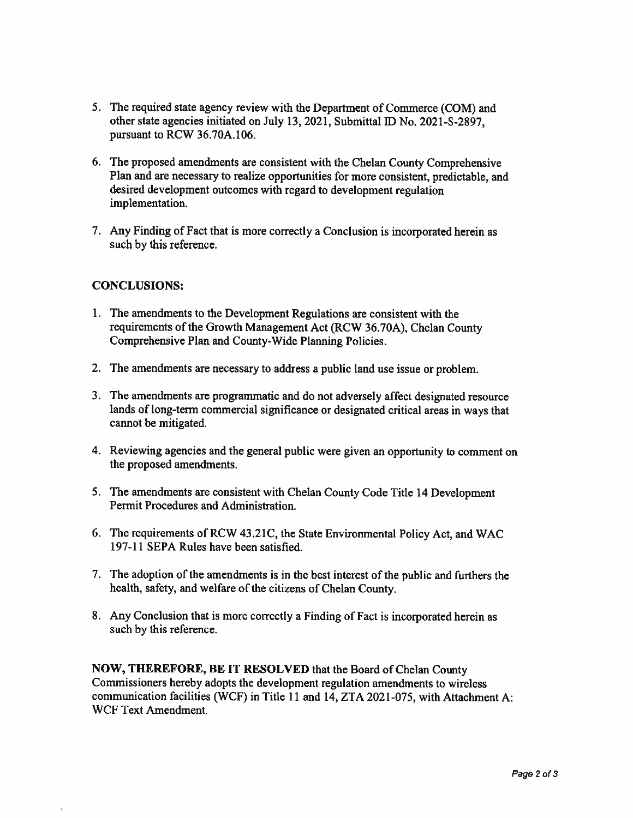- 5. The required state agency review with the Department of Commerce (COM) and other state agencies initiated on July 13, 2021, Submittal ID No. 2021-S-2897, pursuant to RCW 36.70A.106.
- 6. The proposed amendments are consistent with the Chelan County Comprehensive Plan and are necessary to realize opportunities for more consistent, predictable, and desired development outcomes with regard to development regulation implementation.
- 7. Any Finding of Fact that is more correctly a Conclusion is incorporated herein as such by this reference.

## **CONCLUSIONS:**

- 1. The amendments to the Development Regulations are consistent with the requirements of the Growth Management Act (RCW 36.70A), Chelan County Comprehensive Plan and County-Wide Planning Policies.
- 2. The amendments are necessary to address a public land use issue or problem.
- 3. The amendments are programmatic and do not adversely affect designated resource lands of long-term commercial significance or designated critical areas in ways that cannot be mitigated.
- 4. Reviewing agencies and the general public were given an opportunity to comment on the proposed amendments.
- 5. The amendments are consistent with Chelan County Code Title 14 Development Permit Procedures and Administration.
- 6. The requirements of RCW 43.21C, the State Environmental Policy Act, and WAC 197-11 SEPA Rules have been satisfied.
- 7. The adoption of the amendments is in the best interest of the public and furthers the health, safety, and welfare of the citizens of Chelan County.
- 8. Any Conclusion that is more correctly a Finding of Fact is incorporated herein as such by this reference.

**NOW, THEREFORE, BE IT RESOLVED that the Board of Chelan County** Commissioners hereby adopts the development regulation amendments to wireless communication facilities (WCF) in Title 11 and 14, ZTA 2021-075, with Attachment A: **WCF Text Amendment.**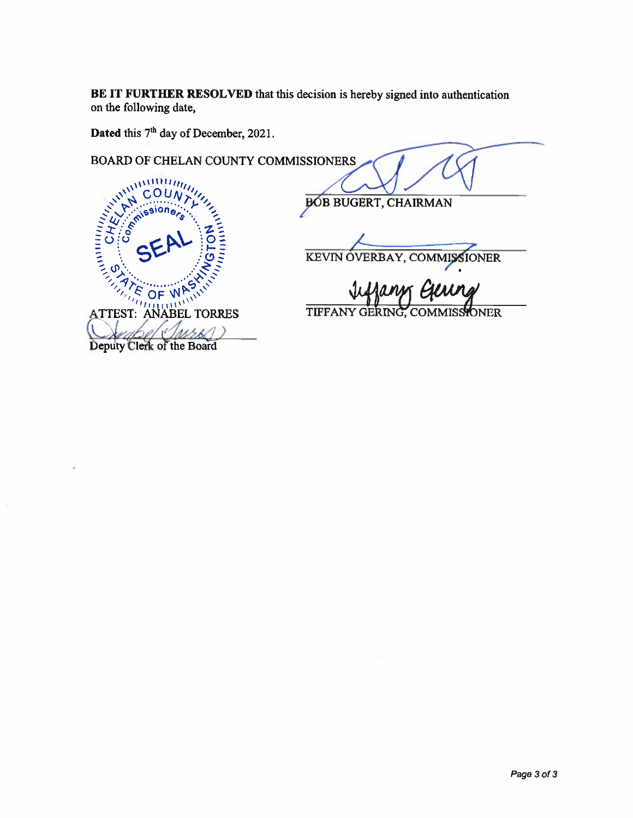BE IT FURTHER RESOLVED that this decision is hereby signed into authentication on the following date,

Dated this 7<sup>th</sup> day of December, 2021.

BOARD OF CHELAN COUNTY COMMISSIONERS

**BÓB BUGERT, CHAIRMAN** 

KEVIN OVERBAY, COMMISSIONER

TIFFANY GERING, C **MMISSIONER** 

ATTEST: ANABEL TORRES Deputy Clerk of the Board

Annony

٢ſ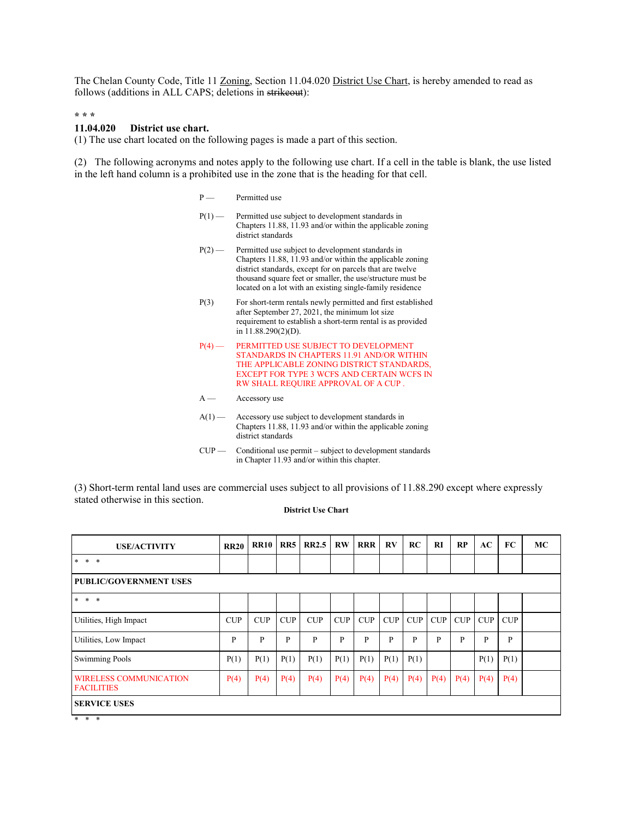The Chelan County Code, Title 11 Zoning, Section 11.04.020 District Use Chart, is hereby amended to read as follows (additions in ALL CAPS; deletions in strikeout):

**\* \* \***

#### **11.04.020 District use chart.**

(1) The use chart located on the following pages is made a part of this section.

(2) The following acronyms and notes apply to the following use chart. If a cell in the table is blank, the use listed in the left hand column is a prohibited use in the zone that is the heading for that cell.

- P Permitted use
- P(1) Permitted use subject to development standards in Chapters 11.88, 11.93 and/or within the applicable zoning district standards
- P(2) Permitted use subject to development standards in Chapters 11.88, 11.93 and/or within the applicable zoning district standards, except for on parcels that are twelve thousand square feet or smaller, the use/structure must be located on a lot with an existing single-family residence
- P(3) For short-term rentals newly permitted and first established after September 27, 2021, the minimum lot size requirement to establish a short-term rental is as provided in 11.88.290(2)(D).
- P(4) PERMITTED USE SUBJECT TO DEVELOPMENT STANDARDS IN CHAPTERS 11.91 AND/OR WITHIN THE APPLICABLE ZONING DISTRICT STANDARDS, EXCEPT FOR TYPE 3 WCFS AND CERTAIN WCFS IN RW SHALL REQUIRE APPROVAL OF A CUP .
- A Accessory use
- $A(1)$  Accessory use subject to development standards in Chapters 11.88, 11.93 and/or within the applicable zoning district standards
- $CUP$  Conditional use permit subject to development standards in Chapter 11.93 and/or within this chapter.

(3) Short-term rental land uses are commercial uses subject to all provisions of 11.88.290 except where expressly stated otherwise in this section.

#### **District Use Chart**

| <b>USE/ACTIVITY</b>                                | <b>RR20</b> | <b>RR10</b> | RR5  | <b>RR2.5</b> | $\mathbf{R}\mathbf{W}$ | <b>RRR</b> | RV   | RC           | <b>RI</b> | RP         | AC   | FC   | MC |
|----------------------------------------------------|-------------|-------------|------|--------------|------------------------|------------|------|--------------|-----------|------------|------|------|----|
| $*$<br>$\ast$<br>$\ast$                            |             |             |      |              |                        |            |      |              |           |            |      |      |    |
| <b>PUBLIC/GOVERNMENT USES</b>                      |             |             |      |              |                        |            |      |              |           |            |      |      |    |
| $\ast$<br>$\ast$<br>$\ast$                         |             |             |      |              |                        |            |      |              |           |            |      |      |    |
| Utilities, High Impact                             | <b>CUP</b>  | CUP         | CUP  | CUP          | CUP                    | CUP        | CUP  | <b>CUP</b>   | CUP       | <b>CUP</b> | CUP  | CUP  |    |
| Utilities, Low Impact                              | P           | P           | P    | P            | P                      | P          | P    | $\mathbf{P}$ | P         | P          | P    | P    |    |
| <b>Swimming Pools</b>                              | P(1)        | P(1)        | P(1) | P(1)         | P(1)                   | P(1)       | P(1) | P(1)         |           |            | P(1) | P(1) |    |
| <b>WIRELESS COMMUNICATION</b><br><b>FACILITIES</b> | P(4)        | P(4)        | P(4) | P(4)         | P(4)                   | P(4)       | P(4) | P(4)         | P(4)      | P(4)       | P(4) | P(4) |    |
| <b>SERVICE USES</b>                                |             |             |      |              |                        |            |      |              |           |            |      |      |    |

\* \* \*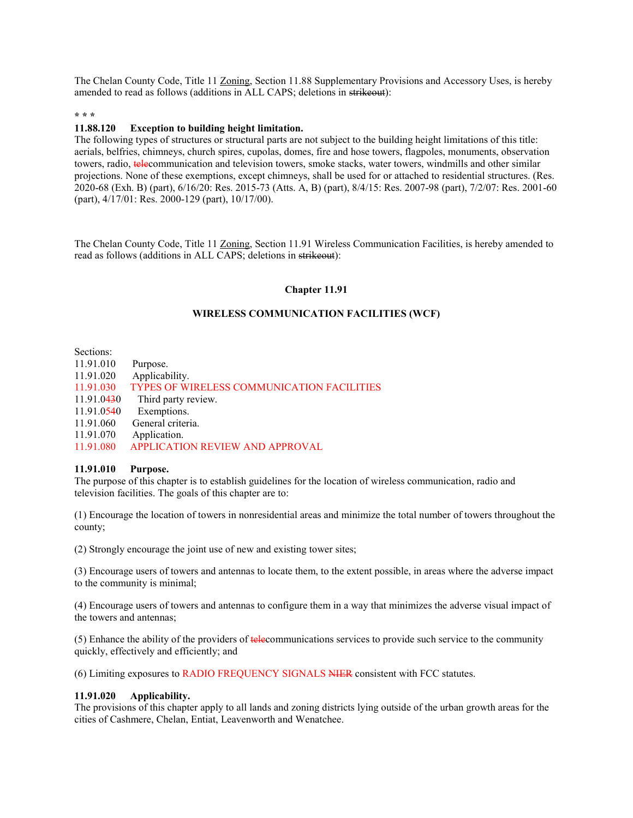The Chelan County Code, Title 11 Zoning, Section 11.88 Supplementary Provisions and Accessory Uses, is hereby amended to read as follows (additions in ALL CAPS; deletions in strikeout):

#### **\* \* \***

#### **11.88.120 Exception to building height limitation.**

The following types of structures or structural parts are not subject to the building height limitations of this title: aerials, belfries, chimneys, church spires, cupolas, domes, fire and hose towers, flagpoles, monuments, observation towers, radio, telecommunication and television towers, smoke stacks, water towers, windmills and other similar projections. None of these exemptions, except chimneys, shall be used for or attached to residential structures. (Res. 2020-68 (Exh. B) (part), 6/16/20: Res. 2015-73 (Atts. A, B) (part), 8/4/15: Res. 2007-98 (part), 7/2/07: Res. 2001-60 (part), 4/17/01: Res. 2000-129 (part), 10/17/00).

The Chelan County Code, Title 11 Zoning, Section 11.91 Wireless Communication Facilities, is hereby amended to read as follows (additions in ALL CAPS; deletions in strikeout):

#### **Chapter 11.91**

#### **WIRELESS COMMUNICATION FACILITIES (WCF)**

Sections:

| 11.91.010  | Purpose.                                   |
|------------|--------------------------------------------|
| 11.91.020  | Applicability.                             |
| 11.91.030  | TYPES OF WIRELESS COMMUNICATION FACILITIES |
| 11.91.0430 | Third party review.                        |
| 11.91.0540 | Exemptions.                                |
| 11.91.060  | General criteria.                          |
| 11.91.070  | Application.                               |
| 11.91.080  | <b>APPLICATION REVIEW AND APPROVAL</b>     |
|            |                                            |

#### **11.91.010 Purpose.**

The purpose of this chapter is to establish guidelines for the location of wireless communication, radio and television facilities. The goals of this chapter are to:

(1) Encourage the location of towers in nonresidential areas and minimize the total number of towers throughout the county;

(2) Strongly encourage the joint use of new and existing tower sites;

(3) Encourage users of towers and antennas to locate them, to the extent possible, in areas where the adverse impact to the community is minimal;

(4) Encourage users of towers and antennas to configure them in a way that minimizes the adverse visual impact of the towers and antennas;

(5) Enhance the ability of the providers of telecommunications services to provide such service to the community quickly, effectively and efficiently; and

(6) Limiting exposures to RADIO FREQUENCY SIGNALS NIER consistent with FCC statutes.

#### **11.91.020 Applicability.**

The provisions of this chapter apply to all lands and zoning districts lying outside of the urban growth areas for the cities of Cashmere, Chelan, Entiat, Leavenworth and Wenatchee.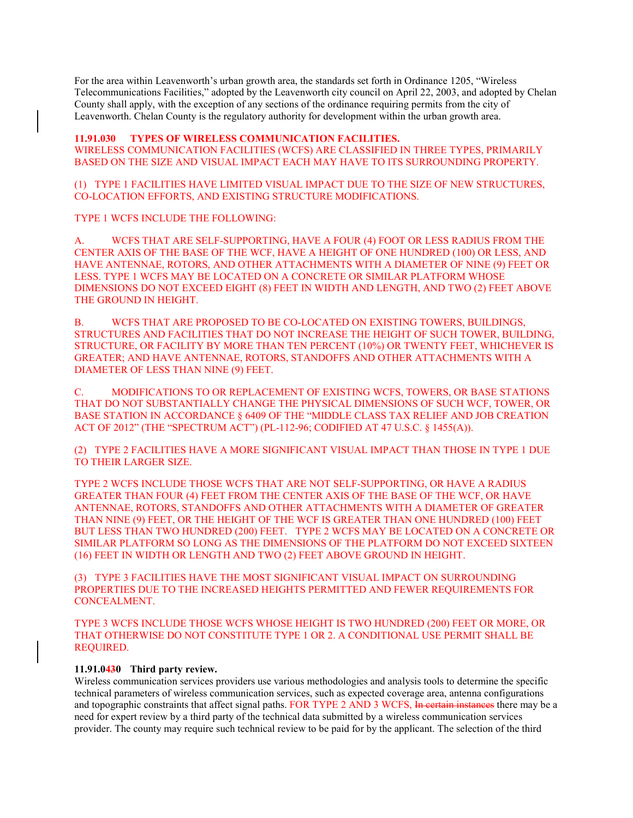For the area within Leavenworth's urban growth area, the standards set forth in Ordinance 1205, "Wireless Telecommunications Facilities," adopted by the Leavenworth city council on April 22, 2003, and adopted by Chelan County shall apply, with the exception of any sections of the ordinance requiring permits from the city of Leavenworth. Chelan County is the regulatory authority for development within the urban growth area.

#### **11.91.030 TYPES OF WIRELESS COMMUNICATION FACILITIES.**

WIRELESS COMMUNICATION FACILITIES (WCFS) ARE CLASSIFIED IN THREE TYPES, PRIMARILY BASED ON THE SIZE AND VISUAL IMPACT EACH MAY HAVE TO ITS SURROUNDING PROPERTY.

(1) TYPE 1 FACILITIES HAVE LIMITED VISUAL IMPACT DUE TO THE SIZE OF NEW STRUCTURES, CO-LOCATION EFFORTS, AND EXISTING STRUCTURE MODIFICATIONS.

TYPE 1 WCFS INCLUDE THE FOLLOWING:

A. WCFS THAT ARE SELF-SUPPORTING, HAVE A FOUR (4) FOOT OR LESS RADIUS FROM THE CENTER AXIS OF THE BASE OF THE WCF, HAVE A HEIGHT OF ONE HUNDRED (100) OR LESS, AND HAVE ANTENNAE, ROTORS, AND OTHER ATTACHMENTS WITH A DIAMETER OF NINE (9) FEET OR LESS. TYPE 1 WCFS MAY BE LOCATED ON A CONCRETE OR SIMILAR PLATFORM WHOSE DIMENSIONS DO NOT EXCEED EIGHT (8) FEET IN WIDTH AND LENGTH, AND TWO (2) FEET ABOVE THE GROUND IN HEIGHT.

B. WCFS THAT ARE PROPOSED TO BE CO-LOCATED ON EXISTING TOWERS, BUILDINGS, STRUCTURES AND FACILITIES THAT DO NOT INCREASE THE HEIGHT OF SUCH TOWER, BUILDING, STRUCTURE, OR FACILITY BY MORE THAN TEN PERCENT (10%) OR TWENTY FEET, WHICHEVER IS GREATER; AND HAVE ANTENNAE, ROTORS, STANDOFFS AND OTHER ATTACHMENTS WITH A DIAMETER OF LESS THAN NINE (9) FEET.

C. MODIFICATIONS TO OR REPLACEMENT OF EXISTING WCFS, TOWERS, OR BASE STATIONS THAT DO NOT SUBSTANTIALLY CHANGE THE PHYSICAL DIMENSIONS OF SUCH WCF, TOWER, OR BASE STATION IN ACCORDANCE § 6409 OF THE "MIDDLE CLASS TAX RELIEF AND JOB CREATION ACT OF 2012" (THE "SPECTRUM ACT") (PL-112-96; CODIFIED AT 47 U.S.C. § 1455(A)).

(2) TYPE 2 FACILITIES HAVE A MORE SIGNIFICANT VISUAL IMPACT THAN THOSE IN TYPE 1 DUE TO THEIR LARGER SIZE.

TYPE 2 WCFS INCLUDE THOSE WCFS THAT ARE NOT SELF-SUPPORTING, OR HAVE A RADIUS GREATER THAN FOUR (4) FEET FROM THE CENTER AXIS OF THE BASE OF THE WCF, OR HAVE ANTENNAE, ROTORS, STANDOFFS AND OTHER ATTACHMENTS WITH A DIAMETER OF GREATER THAN NINE (9) FEET, OR THE HEIGHT OF THE WCF IS GREATER THAN ONE HUNDRED (100) FEET BUT LESS THAN TWO HUNDRED (200) FEET. TYPE 2 WCFS MAY BE LOCATED ON A CONCRETE OR SIMILAR PLATFORM SO LONG AS THE DIMENSIONS OF THE PLATFORM DO NOT EXCEED SIXTEEN (16) FEET IN WIDTH OR LENGTH AND TWO (2) FEET ABOVE GROUND IN HEIGHT.

(3) TYPE 3 FACILITIES HAVE THE MOST SIGNIFICANT VISUAL IMPACT ON SURROUNDING PROPERTIES DUE TO THE INCREASED HEIGHTS PERMITTED AND FEWER REQUIREMENTS FOR CONCEALMENT.

TYPE 3 WCFS INCLUDE THOSE WCFS WHOSE HEIGHT IS TWO HUNDRED (200) FEET OR MORE, OR THAT OTHERWISE DO NOT CONSTITUTE TYPE 1 OR 2. A CONDITIONAL USE PERMIT SHALL BE REQUIRED.

#### **11.91.0430 Third party review.**

Wireless communication services providers use various methodologies and analysis tools to determine the specific technical parameters of wireless communication services, such as expected coverage area, antenna configurations and topographic constraints that affect signal paths. FOR TYPE 2 AND 3 WCFS, In certain instances there may be a need for expert review by a third party of the technical data submitted by a wireless communication services provider. The county may require such technical review to be paid for by the applicant. The selection of the third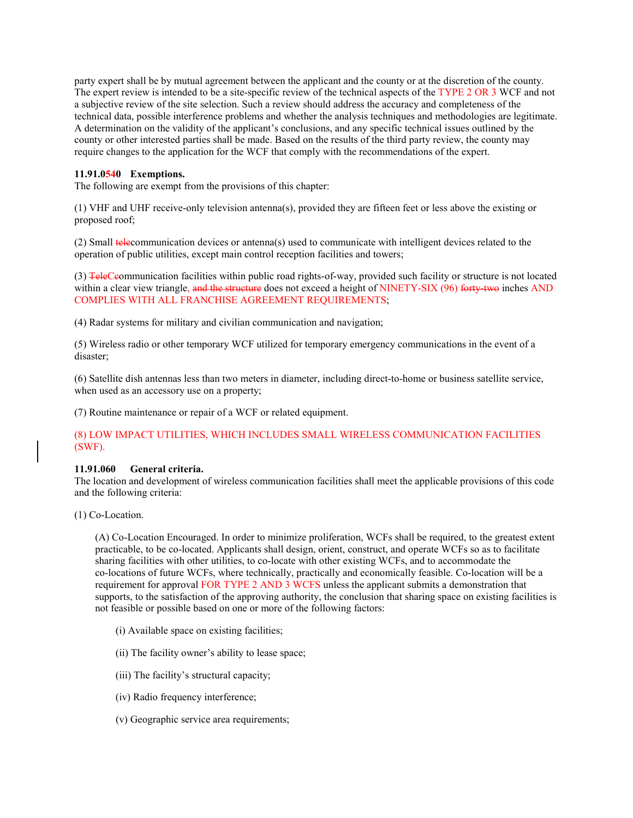party expert shall be by mutual agreement between the applicant and the county or at the discretion of the county. The expert review is intended to be a site-specific review of the technical aspects of the TYPE 2 OR 3 WCF and not a subjective review of the site selection. Such a review should address the accuracy and completeness of the technical data, possible interference problems and whether the analysis techniques and methodologies are legitimate. A determination on the validity of the applicant's conclusions, and any specific technical issues outlined by the county or other interested parties shall be made. Based on the results of the third party review, the county may require changes to the application for the WCF that comply with the recommendations of the expert.

#### **11.91.0540 Exemptions.**

The following are exempt from the provisions of this chapter:

(1) VHF and UHF receive-only television antenna(s), provided they are fifteen feet or less above the existing or proposed roof;

(2) Small telecommunication devices or antenna(s) used to communicate with intelligent devices related to the operation of public utilities, except main control reception facilities and towers;

(3) TeleCeommunication facilities within public road rights-of-way, provided such facility or structure is not located within a clear view triangle, and the structure does not exceed a height of NINETY-SIX (96) forty-two inches AND COMPLIES WITH ALL FRANCHISE AGREEMENT REQUIREMENTS;

(4) Radar systems for military and civilian communication and navigation;

(5) Wireless radio or other temporary WCF utilized for temporary emergency communications in the event of a disaster;

(6) Satellite dish antennas less than two meters in diameter, including direct-to-home or business satellite service, when used as an accessory use on a property;

(7) Routine maintenance or repair of a WCF or related equipment.

#### (8) LOW IMPACT UTILITIES, WHICH INCLUDES SMALL WIRELESS COMMUNICATION FACILITIES (SWF).

#### **11.91.060 General criteria.**

The location and development of wireless communication facilities shall meet the applicable provisions of this code and the following criteria:

(1) Co-Location.

(A) Co-Location Encouraged. In order to minimize proliferation, WCFs shall be required, to the greatest extent practicable, to be co-located. Applicants shall design, orient, construct, and operate WCFs so as to facilitate sharing facilities with other utilities, to co-locate with other existing WCFs, and to accommodate the co-locations of future WCFs, where technically, practically and economically feasible. Co-location will be a requirement for approval FOR TYPE 2 AND 3 WCFS unless the applicant submits a demonstration that supports, to the satisfaction of the approving authority, the conclusion that sharing space on existing facilities is not feasible or possible based on one or more of the following factors:

- (i) Available space on existing facilities;
- (ii) The facility owner's ability to lease space;
- (iii) The facility's structural capacity;
- (iv) Radio frequency interference;
- (v) Geographic service area requirements;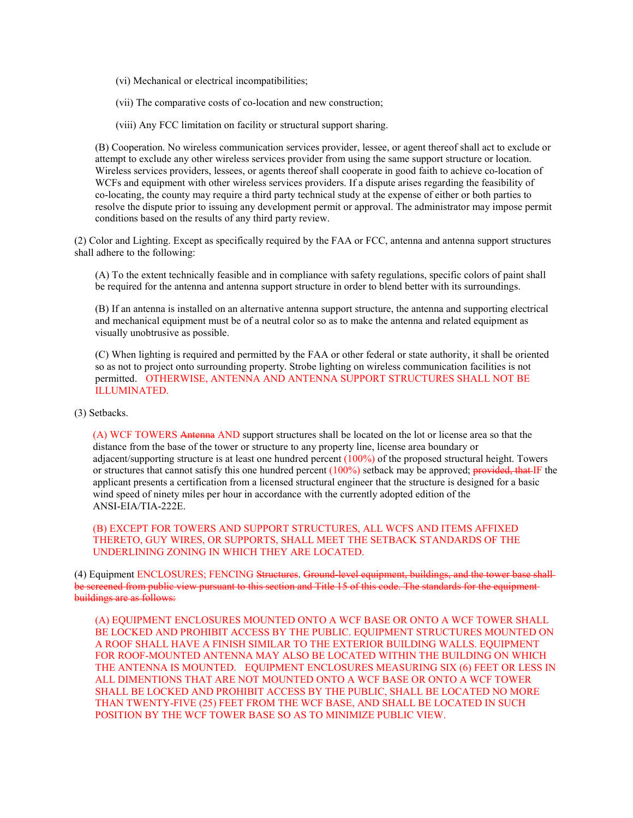(vi) Mechanical or electrical incompatibilities;

(vii) The comparative costs of co-location and new construction;

(viii) Any FCC limitation on facility or structural support sharing.

(B) Cooperation. No wireless communication services provider, lessee, or agent thereof shall act to exclude or attempt to exclude any other wireless services provider from using the same support structure or location. Wireless services providers, lessees, or agents thereof shall cooperate in good faith to achieve co-location of WCFs and equipment with other wireless services providers. If a dispute arises regarding the feasibility of co-locating, the county may require a third party technical study at the expense of either or both parties to resolve the dispute prior to issuing any development permit or approval. The administrator may impose permit conditions based on the results of any third party review.

(2) Color and Lighting. Except as specifically required by the FAA or FCC, antenna and antenna support structures shall adhere to the following:

(A) To the extent technically feasible and in compliance with safety regulations, specific colors of paint shall be required for the antenna and antenna support structure in order to blend better with its surroundings.

(B) If an antenna is installed on an alternative antenna support structure, the antenna and supporting electrical and mechanical equipment must be of a neutral color so as to make the antenna and related equipment as visually unobtrusive as possible.

(C) When lighting is required and permitted by the FAA or other federal or state authority, it shall be oriented so as not to project onto surrounding property. Strobe lighting on wireless communication facilities is not permitted. OTHERWISE, ANTENNA AND ANTENNA SUPPORT STRUCTURES SHALL NOT BE ILLUMINATED.

(3) Setbacks.

(A) WCF TOWERS Antenna AND support structures shall be located on the lot or license area so that the distance from the base of the tower or structure to any property line, license area boundary or adjacent/supporting structure is at least one hundred percent (100%) of the proposed structural height. Towers or structures that cannot satisfy this one hundred percent (100%) setback may be approved; provided, that IF the applicant presents a certification from a licensed structural engineer that the structure is designed for a basic wind speed of ninety miles per hour in accordance with the currently adopted edition of the ANSI-EIA/TIA-222E.

(B) EXCEPT FOR TOWERS AND SUPPORT STRUCTURES, ALL WCFS AND ITEMS AFFIXED THERETO, GUY WIRES, OR SUPPORTS, SHALL MEET THE SETBACK STANDARDS OF THE UNDERLINING ZONING IN WHICH THEY ARE LOCATED.

(4) Equipment ENCLOSURES; FENCING Structures. Ground-level equipment, buildings, and the tower base shallbe screened from public view pursuant to this section and Title 15 of this code. The standards for the equipment buildings are as follows:

(A) EQUIPMENT ENCLOSURES MOUNTED ONTO A WCF BASE OR ONTO A WCF TOWER SHALL BE LOCKED AND PROHIBIT ACCESS BY THE PUBLIC. EQUIPMENT STRUCTURES MOUNTED ON A ROOF SHALL HAVE A FINISH SIMILAR TO THE EXTERIOR BUILDING WALLS. EQUIPMENT FOR ROOF-MOUNTED ANTENNA MAY ALSO BE LOCATED WITHIN THE BUILDING ON WHICH THE ANTENNA IS MOUNTED. EQUIPMENT ENCLOSURES MEASURING SIX (6) FEET OR LESS IN ALL DIMENTIONS THAT ARE NOT MOUNTED ONTO A WCF BASE OR ONTO A WCF TOWER SHALL BE LOCKED AND PROHIBIT ACCESS BY THE PUBLIC, SHALL BE LOCATED NO MORE THAN TWENTY-FIVE (25) FEET FROM THE WCF BASE, AND SHALL BE LOCATED IN SUCH POSITION BY THE WCF TOWER BASE SO AS TO MINIMIZE PUBLIC VIEW.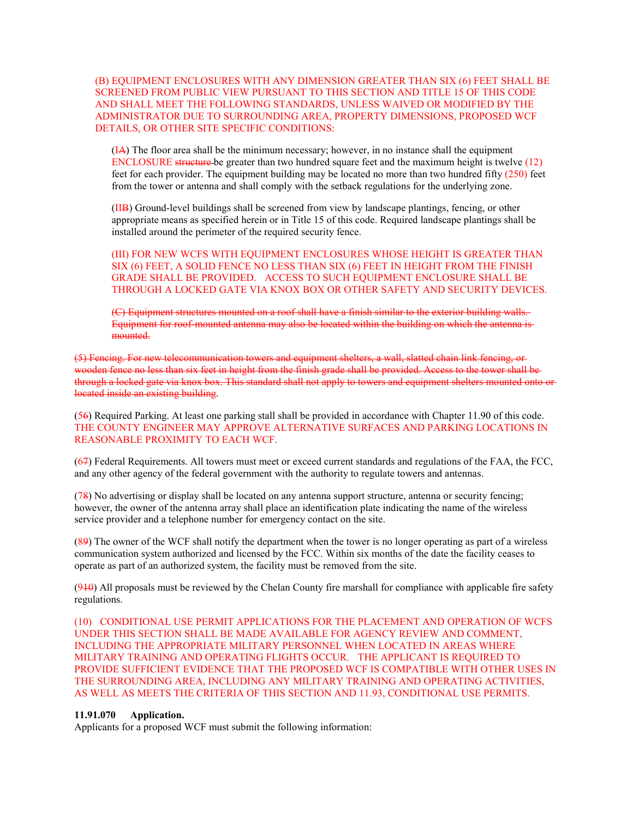#### (B) EQUIPMENT ENCLOSURES WITH ANY DIMENSION GREATER THAN SIX (6) FEET SHALL BE SCREENED FROM PUBLIC VIEW PURSUANT TO THIS SECTION AND TITLE 15 OF THIS CODE AND SHALL MEET THE FOLLOWING STANDARDS, UNLESS WAIVED OR MODIFIED BY THE ADMINISTRATOR DUE TO SURROUNDING AREA, PROPERTY DIMENSIONS, PROPOSED WCF DETAILS, OR OTHER SITE SPECIFIC CONDITIONS:

(IA) The floor area shall be the minimum necessary; however, in no instance shall the equipment  $\text{ENCLOSURE}$  structure be greater than two hundred square feet and the maximum height is twelve (12) feet for each provider. The equipment building may be located no more than two hundred fifty (250) feet from the tower or antenna and shall comply with the setback regulations for the underlying zone.

(IIB) Ground-level buildings shall be screened from view by landscape plantings, fencing, or other appropriate means as specified herein or in Title 15 of this code. Required landscape plantings shall be installed around the perimeter of the required security fence.

(III) FOR NEW WCFS WITH EQUIPMENT ENCLOSURES WHOSE HEIGHT IS GREATER THAN SIX (6) FEET, A SOLID FENCE NO LESS THAN SIX (6) FEET IN HEIGHT FROM THE FINISH GRADE SHALL BE PROVIDED. ACCESS TO SUCH EQUIPMENT ENCLOSURE SHALL BE THROUGH A LOCKED GATE VIA KNOX BOX OR OTHER SAFETY AND SECURITY DEVICES.

(C) Equipment structures mounted on a roof shall have a finish similar to the exterior building walls. Equipment for roof-mounted antenna may also be located within the building on which the antenna is mounted.

(5) Fencing. For new telecommunication towers and equipment shelters, a wall, slatted chain link fencing, or wooden fence no less than six feet in height from the finish grade shall be provided. Access to the tower shall be through a locked gate via knox box. This standard shall not apply to towers and equipment shelters mounted onto or located inside an existing building.

(56) Required Parking. At least one parking stall shall be provided in accordance with Chapter 11.90 of this code. THE COUNTY ENGINEER MAY APPROVE ALTERNATIVE SURFACES AND PARKING LOCATIONS IN REASONABLE PROXIMITY TO EACH WCF.

(67) Federal Requirements. All towers must meet or exceed current standards and regulations of the FAA, the FCC, and any other agency of the federal government with the authority to regulate towers and antennas.

(78) No advertising or display shall be located on any antenna support structure, antenna or security fencing; however, the owner of the antenna array shall place an identification plate indicating the name of the wireless service provider and a telephone number for emergency contact on the site.

(89) The owner of the WCF shall notify the department when the tower is no longer operating as part of a wireless communication system authorized and licensed by the FCC. Within six months of the date the facility ceases to operate as part of an authorized system, the facility must be removed from the site.

 $(940)$  All proposals must be reviewed by the Chelan County fire marshall for compliance with applicable fire safety regulations.

(10) CONDITIONAL USE PERMIT APPLICATIONS FOR THE PLACEMENT AND OPERATION OF WCFS UNDER THIS SECTION SHALL BE MADE AVAILABLE FOR AGENCY REVIEW AND COMMENT, INCLUDING THE APPROPRIATE MILITARY PERSONNEL WHEN LOCATED IN AREAS WHERE MILITARY TRAINING AND OPERATING FLIGHTS OCCUR. THE APPLICANT IS REQUIRED TO PROVIDE SUFFICIENT EVIDENCE THAT THE PROPOSED WCF IS COMPATIBLE WITH OTHER USES IN THE SURROUNDING AREA, INCLUDING ANY MILITARY TRAINING AND OPERATING ACTIVITIES, AS WELL AS MEETS THE CRITERIA OF THIS SECTION AND 11.93, CONDITIONAL USE PERMITS.

#### **11.91.070 Application.**

Applicants for a proposed WCF must submit the following information: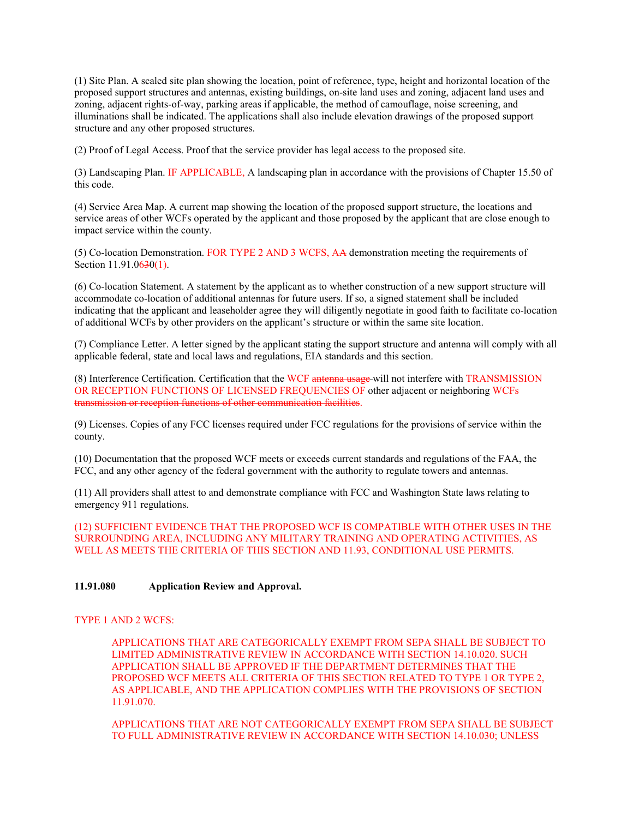(1) Site Plan. A scaled site plan showing the location, point of reference, type, height and horizontal location of the proposed support structures and antennas, existing buildings, on-site land uses and zoning, adjacent land uses and zoning, adjacent rights-of-way, parking areas if applicable, the method of camouflage, noise screening, and illuminations shall be indicated. The applications shall also include elevation drawings of the proposed support structure and any other proposed structures.

(2) Proof of Legal Access. Proof that the service provider has legal access to the proposed site.

(3) Landscaping Plan. IF APPLICABLE, A landscaping plan in accordance with the provisions of Chapter 15.50 of this code.

(4) Service Area Map. A current map showing the location of the proposed support structure, the locations and service areas of other WCFs operated by the applicant and those proposed by the applicant that are close enough to impact service within the county.

(5) Co-location Demonstration. FOR TYPE 2 AND 3 WCFS, AA demonstration meeting the requirements of Section 11.91.0630(1).

(6) Co-location Statement. A statement by the applicant as to whether construction of a new support structure will accommodate co-location of additional antennas for future users. If so, a signed statement shall be included indicating that the applicant and leaseholder agree they will diligently negotiate in good faith to facilitate co-location of additional WCFs by other providers on the applicant's structure or within the same site location.

(7) Compliance Letter. A letter signed by the applicant stating the support structure and antenna will comply with all applicable federal, state and local laws and regulations, EIA standards and this section.

(8) Interference Certification. Certification that the WCF antenna usage will not interfere with TRANSMISSION OR RECEPTION FUNCTIONS OF LICENSED FREQUENCIES OF other adjacent or neighboring WCFs transmission or reception functions of other communication facilities.

(9) Licenses. Copies of any FCC licenses required under FCC regulations for the provisions of service within the county.

(10) Documentation that the proposed WCF meets or exceeds current standards and regulations of the FAA, the FCC, and any other agency of the federal government with the authority to regulate towers and antennas.

(11) All providers shall attest to and demonstrate compliance with FCC and Washington State laws relating to emergency 911 regulations.

(12) SUFFICIENT EVIDENCE THAT THE PROPOSED WCF IS COMPATIBLE WITH OTHER USES IN THE SURROUNDING AREA, INCLUDING ANY MILITARY TRAINING AND OPERATING ACTIVITIES, AS WELL AS MEETS THE CRITERIA OF THIS SECTION AND 11.93, CONDITIONAL USE PERMITS.

#### **11.91.080 Application Review and Approval.**

#### TYPE 1 AND 2 WCFS:

APPLICATIONS THAT ARE CATEGORICALLY EXEMPT FROM SEPA SHALL BE SUBJECT TO LIMITED ADMINISTRATIVE REVIEW IN ACCORDANCE WITH SECTION 14.10.020. SUCH APPLICATION SHALL BE APPROVED IF THE DEPARTMENT DETERMINES THAT THE PROPOSED WCF MEETS ALL CRITERIA OF THIS SECTION RELATED TO TYPE 1 OR TYPE 2, AS APPLICABLE, AND THE APPLICATION COMPLIES WITH THE PROVISIONS OF SECTION 11.91.070.

APPLICATIONS THAT ARE NOT CATEGORICALLY EXEMPT FROM SEPA SHALL BE SUBJECT TO FULL ADMINISTRATIVE REVIEW IN ACCORDANCE WITH SECTION 14.10.030; UNLESS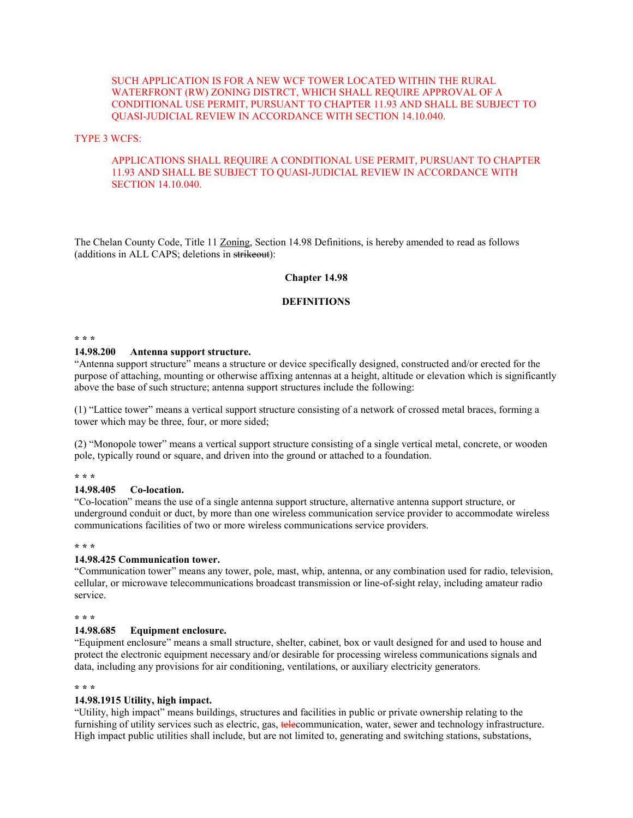#### SUCH APPLICATION IS FOR A NEW WCF TOWER LOCATED WITHIN THE RURAL WATERFRONT (RW) ZONING DISTRCT, WHICH SHALL REQUIRE APPROVAL OF A CONDITIONAL USE PERMIT, PURSUANT TO CHAPTER 11.93 AND SHALL BE SUBJECT TO QUASI-JUDICIAL REVIEW IN ACCORDANCE WITH SECTION 14.10.040.

#### TYPE 3 WCFS:

#### APPLICATIONS SHALL REQUIRE A CONDITIONAL USE PERMIT, PURSUANT TO CHAPTER 11.93 AND SHALL BE SUBJECT TO QUASI-JUDICIAL REVIEW IN ACCORDANCE WITH SECTION 14.10.040.

The Chelan County Code, Title 11 Zoning, Section 14.98 Definitions, is hereby amended to read as follows (additions in ALL CAPS; deletions in strikeout):

#### **Chapter 14.98**

#### **DEFINITIONS**

#### **\* \* \***

#### **14.98.200 Antenna support structure.**

"Antenna support structure" means a structure or device specifically designed, constructed and/or erected for the purpose of attaching, mounting or otherwise affixing antennas at a height, altitude or elevation which is significantly above the base of such structure; antenna support structures include the following:

(1) "Lattice tower" means a vertical support structure consisting of a network of crossed metal braces, forming a tower which may be three, four, or more sided;

(2) "Monopole tower" means a vertical support structure consisting of a single vertical metal, concrete, or wooden pole, typically round or square, and driven into the ground or attached to a foundation.

#### **\* \* \***

#### **14.98.405 Co-location.**

"Co-location" means the use of a single antenna support structure, alternative antenna support structure, or underground conduit or duct, by more than one wireless communication service provider to accommodate wireless communications facilities of two or more wireless communications service providers.

#### **\* \* \***

#### **14.98.425 Communication tower.**

"Communication tower" means any tower, pole, mast, whip, antenna, or any combination used for radio, television, cellular, or microwave telecommunications broadcast transmission or line-of-sight relay, including amateur radio service.

#### **\* \* \***

#### **14.98.685 Equipment enclosure.**

"Equipment enclosure" means a small structure, shelter, cabinet, box or vault designed for and used to house and protect the electronic equipment necessary and/or desirable for processing wireless communications signals and data, including any provisions for air conditioning, ventilations, or auxiliary electricity generators.

#### **\* \* \***

#### **14.98.1915 Utility, high impact.**

"Utility, high impact" means buildings, structures and facilities in public or private ownership relating to the furnishing of utility services such as electric, gas, **tele**communication, water, sewer and technology infrastructure. High impact public utilities shall include, but are not limited to, generating and switching stations, substations,